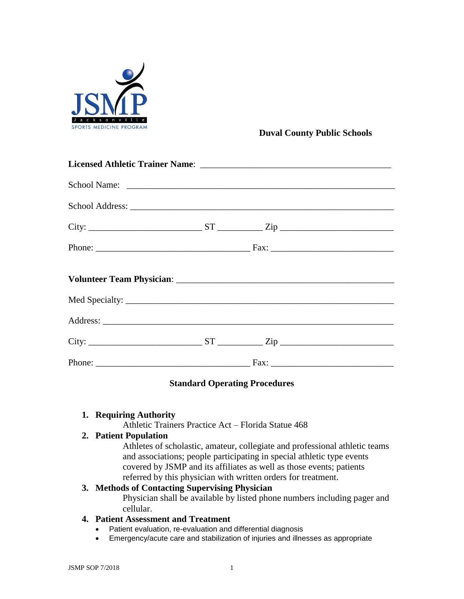

## **Duval County Public Schools**

# **Standard Operating Procedures**

#### **1. Requiring Authority**

Athletic Trainers Practice Act – Florida Statue 468

### **2. Patient Population**

Athletes of scholastic, amateur, collegiate and professional athletic teams and associations; people participating in special athletic type events covered by JSMP and its affiliates as well as those events; patients referred by this physician with written orders for treatment.

### **3. Methods of Contacting Supervising Physician**

Physician shall be available by listed phone numbers including pager and cellular.

### **4. Patient Assessment and Treatment**

- Patient evaluation, re-evaluation and differential diagnosis
- Emergency/acute care and stabilization of injuries and illnesses as appropriate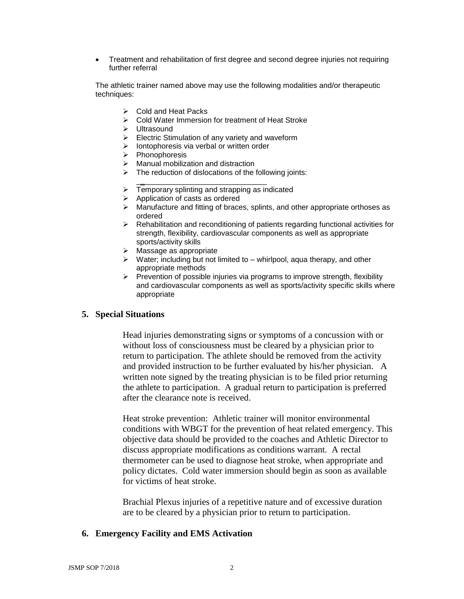Treatment and rehabilitation of first degree and second degree injuries not requiring further referral

The athletic trainer named above may use the following modalities and/or therapeutic techniques:

- Cold and Heat Packs
- ▶ Cold Water Immersion for treatment of Heat Stroke
- > Ultrasound
- $\triangleright$  Electric Stimulation of any variety and waveform
- $\triangleright$  lontophoresis via verbal or written order
- $\triangleright$  Phonophoresis
- $\triangleright$  Manual mobilization and distraction
- $\triangleright$  The reduction of dislocations of the following joints:
- \_**\_**\_\_\_\_\_\_\_\_\_\_\_\_\_\_\_\_\_\_\_\_\_\_\_\_\_\_\_\_\_  $\triangleright$  Temporary splinting and strapping as indicated
- $\triangleright$  Application of casts as ordered
- $\triangleright$  Manufacture and fitting of braces, splints, and other appropriate orthoses as ordered
- Rehabilitation and reconditioning of patients regarding functional activities for strength, flexibility, cardiovascular components as well as appropriate sports/activity skills
- $\triangleright$  Massage as appropriate
- $\triangleright$  Water; including but not limited to whirlpool, aqua therapy, and other appropriate methods
- $\triangleright$  Prevention of possible injuries via programs to improve strength, flexibility and cardiovascular components as well as sports/activity specific skills where appropriate

#### **5. Special Situations**

Head injuries demonstrating signs or symptoms of a concussion with or without loss of consciousness must be cleared by a physician prior to return to participation. The athlete should be removed from the activity and provided instruction to be further evaluated by his/her physician. A written note signed by the treating physician is to be filed prior returning the athlete to participation. A gradual return to participation is preferred after the clearance note is received.

Heat stroke prevention: Athletic trainer will monitor environmental conditions with WBGT for the prevention of heat related emergency. This objective data should be provided to the coaches and Athletic Director to discuss appropriate modifications as conditions warrant. A rectal thermometer can be used to diagnose heat stroke, when appropriate and policy dictates. Cold water immersion should begin as soon as available for victims of heat stroke.

Brachial Plexus injuries of a repetitive nature and of excessive duration are to be cleared by a physician prior to return to participation.

#### **6. Emergency Facility and EMS Activation**